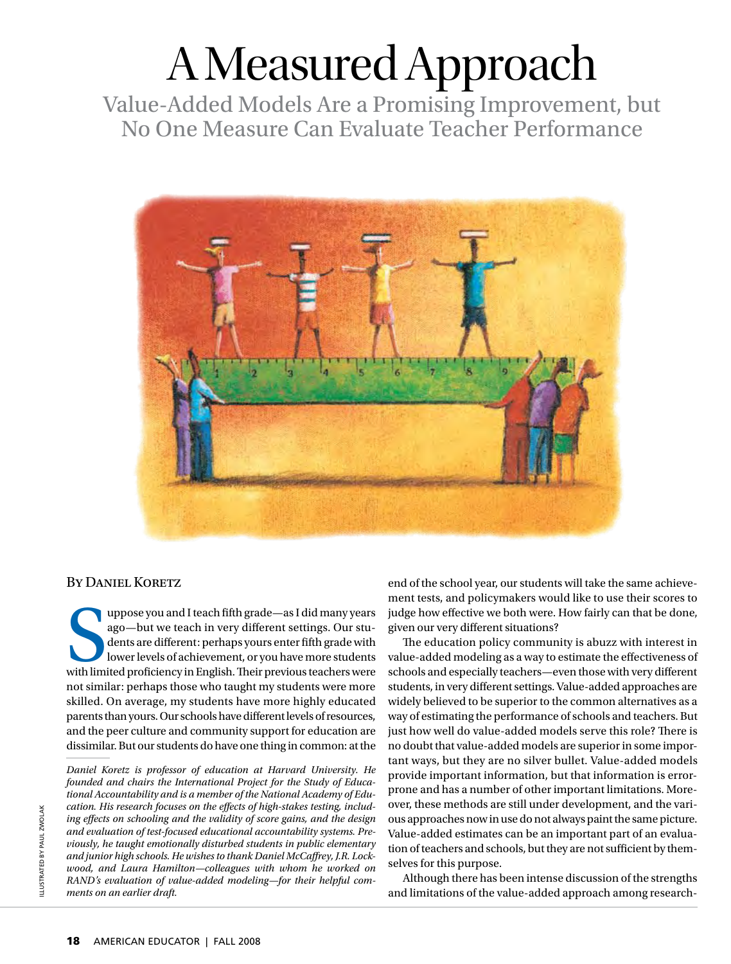# A Measured Approach

Value-Added Models Are a Promising Improvement, but No One Measure Can Evaluate Teacher Performance



By Daniel Koretz

uppose you and I teach fifth grade—as I did many years<br>ago—but we teach in very different settings. Our stu-<br>dents are different: perhaps yours enter fifth grade with<br>lower levels of achievement, or you have more students<br> uppose you and I teach fifth grade—as I did many years ago—but we teach in very different settings. Our students are different: perhaps yours enter fifth grade with lower levels of achievement, or you have more students not similar: perhaps those who taught my students were more skilled. On average, my students have more highly educated parents than yours. Our schools have different levels of resources, and the peer culture and community support for education are dissimilar. But our students do have one thing in common: at the

*Daniel Koretz is professor of education at Harvard University. He founded and chairs the International Project for the Study of Educational Accountability and is a member of the National Academy of Education. His research focuses on the effects of high-stakes testing, including effects on schooling and the validity of score gains, and the design and evaluation of test-focused educational accountability systems. Previously, he taught emotionally disturbed students in public elementary and junior high schools. He wishes to thank Daniel McCaffrey, J.R. Lockwood, and Laura Hamilton—colleagues with whom he worked on RAND's evaluation of value-added modeling—for their helpful comments on an earlier draft.*

end of the school year, our students will take the same achievement tests, and policymakers would like to use their scores to judge how effective we both were. How fairly can that be done, given our very different situations?

The education policy community is abuzz with interest in value-added modeling as a way to estimate the effectiveness of schools and especially teachers—even those with very different students, in very different settings. Value-added approaches are widely believed to be superior to the common alternatives as a way of estimating the performance of schools and teachers. But just how well do value-added models serve this role? There is no doubt that value-added models are superior in some important ways, but they are no silver bullet. Value-added models provide important information, but that information is errorprone and has a number of other important limitations. Moreover, these methods are still under development, and the various approaches now in use do not always paint the same picture. Value-added estimates can be an important part of an evaluation of teachers and schools, but they are not sufficient by themselves for this purpose.

Although there has been intense discussion of the strengths and limitations of the value-added approach among research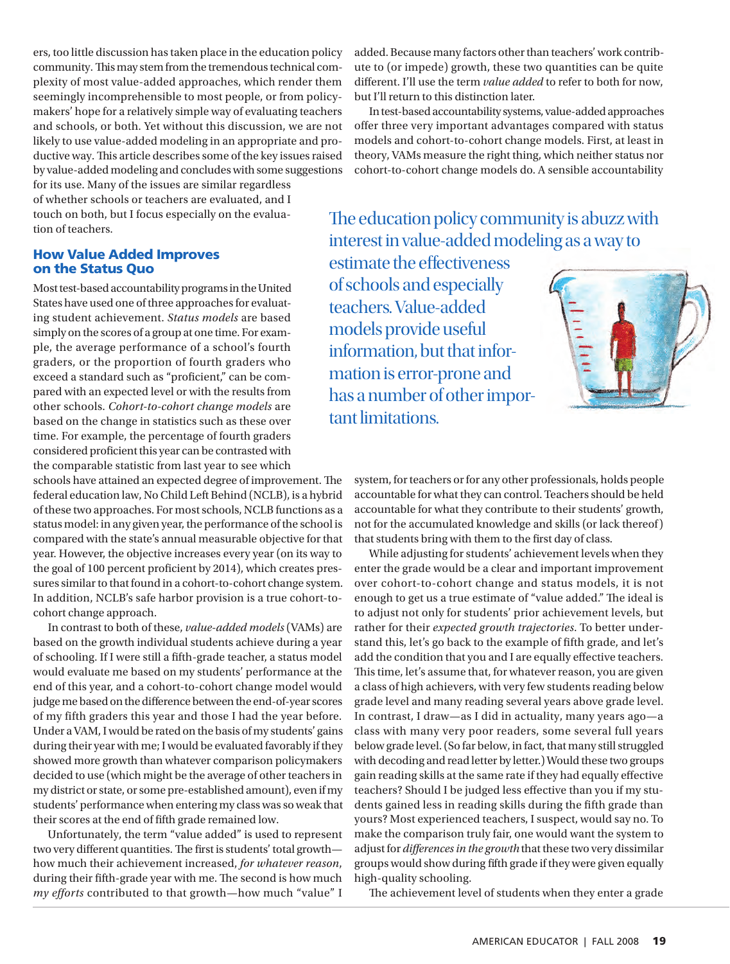ers, too little discussion has taken place in the education policy community. This may stem from the tremendous technical complexity of most value-added approaches, which render them seemingly incomprehensible to most people, or from policymakers' hope for a relatively simple way of evaluating teachers and schools, or both. Yet without this discussion, we are not likely to use value-added modeling in an appropriate and productive way. This article describes some of the key issues raised by value-added modeling and concludes with some suggestions

for its use. Many of the issues are similar regardless of whether schools or teachers are evaluated, and I touch on both, but I focus especially on the evaluation of teachers.

#### How Value Added Improves on the Status Quo

Most test-based accountability programs in the United States have used one of three approaches for evaluating student achievement. *Status models* are based simply on the scores of a group at one time. For example, the average performance of a school's fourth graders, or the proportion of fourth graders who exceed a standard such as "proficient," can be compared with an expected level or with the results from other schools. *Cohort-to-cohort change models* are based on the change in statistics such as these over time. For example, the percentage of fourth graders considered proficient this year can be contrasted with the comparable statistic from last year to see which

schools have attained an expected degree of improvement. The federal education law, No Child Left Behind (NCLB), is a hybrid of these two approaches. For most schools, NCLB functions as a status model: in any given year, the performance of the school is compared with the state's annual measurable objective for that year. However, the objective increases every year (on its way to the goal of 100 percent proficient by 2014), which creates pressures similar to that found in a cohort-to-cohort change system. In addition, NCLB's safe harbor provision is a true cohort-tocohort change approach.

In contrast to both of these, *value-added models* (VAMs) are based on the growth individual students achieve during a year of schooling. If I were still a fifth-grade teacher, a status model would evaluate me based on my students' performance at the end of this year, and a cohort-to-cohort change model would judge me based on the difference between the end-of-year scores of my fifth graders this year and those I had the year before. Under a VAM, I would be rated on the basis of my students' gains during their year with me; I would be evaluated favorably if they showed more growth than whatever comparison policymakers decided to use (which might be the average of other teachers in my district or state, or some pre-established amount), even if my students' performance when entering my class was so weak that their scores at the end of fifth grade remained low.

Unfortunately, the term "value added" is used to represent two very different quantities. The first is students' total growthhow much their achievement increased, *for whatever reason*, during their fifth-grade year with me. The second is how much *my efforts* contributed to that growth—how much "value" I added. Because many factors other than teachers' work contribute to (or impede) growth, these two quantities can be quite different. I'll use the term *value added* to refer to both for now, but I'll return to this distinction later.

In test-based accountability systems, value-added approaches offer three very important advantages compared with status models and cohort-to-cohort change models. First, at least in theory, VAMs measure the right thing, which neither status nor cohort-to-cohort change models do. A sensible accountability

# The education policy community is abuzz with interest in value-added modeling as a way to

estimate the effectiveness of schools and especially teachers. Value-added models provide useful information, but that information is error-prone and has a number of other important limitations.



system, for teachers or for any other professionals, holds people accountable for what they can control. Teachers should be held accountable for what they contribute to their students' growth, not for the accumulated knowledge and skills (or lack thereof ) that students bring with them to the first day of class.

While adjusting for students' achievement levels when they enter the grade would be a clear and important improvement over cohort-to-cohort change and status models, it is not enough to get us a true estimate of "value added." The ideal is to adjust not only for students' prior achievement levels, but rather for their *expected growth trajectories*. To better understand this, let's go back to the example of fifth grade, and let's add the condition that you and I are equally effective teachers. This time, let's assume that, for whatever reason, you are given a class of high achievers, with very few students reading below grade level and many reading several years above grade level. In contrast, I draw—as I did in actuality, many years ago—a class with many very poor readers, some several full years below grade level. (So far below, in fact, that many still struggled with decoding and read letter by letter.) Would these two groups gain reading skills at the same rate if they had equally effective teachers? Should I be judged less effective than you if my students gained less in reading skills during the fifth grade than yours? Most experienced teachers, I suspect, would say no. To make the comparison truly fair, one would want the system to adjust for *differences in the growth* that these two very dissimilar groups would show during fifth grade if they were given equally high-quality schooling.

The achievement level of students when they enter a grade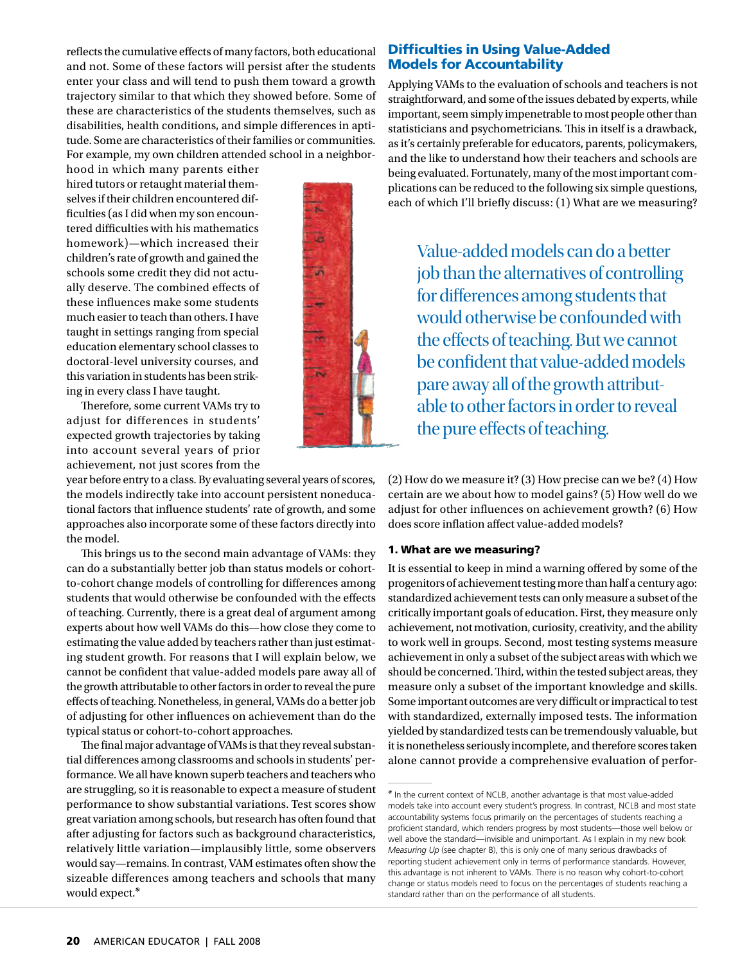reflects the cumulative effects of many factors, both educational and not. Some of these factors will persist after the students enter your class and will tend to push them toward a growth trajectory similar to that which they showed before. Some of these are characteristics of the students themselves, such as disabilities, health conditions, and simple differences in aptitude. Some are characteristics of their families or communities. For example, my own children attended school in a neighbor-

hood in which many parents either hired tutors or retaught material themselves if their children encountered difficulties (as I did when my son encountered difficulties with his mathematics homework)—which increased their children's rate of growth and gained the schools some credit they did not actually deserve. The combined effects of these influences make some students much easier to teach than others. I have taught in settings ranging from special education elementary school classes to doctoral-level university courses, and this variation in students has been striking in every class I have taught.

Therefore, some current VAMs try to adjust for differences in students' expected growth trajectories by taking into account several years of prior achievement, not just scores from the

year before entry to a class. By evaluating several years of scores, the models indirectly take into account persistent noneducational factors that influence students' rate of growth, and some approaches also incorporate some of these factors directly into the model.

This brings us to the second main advantage of VAMs: they can do a substantially better job than status models or cohortto-cohort change models of controlling for differences among students that would otherwise be confounded with the effects of teaching. Currently, there is a great deal of argument among experts about how well VAMs do this—how close they come to estimating the value added by teachers rather than just estimating student growth. For reasons that I will explain below, we cannot be confident that value-added models pare away all of the growth attributable to other factors in order to reveal the pure effects of teaching. Nonetheless, in general, VAMs do a better job of adjusting for other influences on achievement than do the typical status or cohort-to-cohort approaches.

The final major advantage of VAMs is that they reveal substantial differences among classrooms and schools in students' performance. We all have known superb teachers and teachers who are struggling, so it is reasonable to expect a measure of student performance to show substantial variations. Test scores show great variation among schools, but research has often found that after adjusting for factors such as background characteristics, relatively little variation—implausibly little, some observers would say—remains. In contrast, VAM estimates often show the sizeable differences among teachers and schools that many would expect.\*

## Difficulties in Using Value-Added Models for Accountability

Applying VAMs to the evaluation of schools and teachers is not straightforward, and some of the issues debated by experts, while important, seem simply impenetrable to most people other than statisticians and psychometricians. This in itself is a drawback, as it's certainly preferable for educators, parents, policymakers, and the like to understand how their teachers and schools are being evaluated. Fortunately, many of the most important complications can be reduced to the following six simple questions, each of which I'll briefly discuss: (1) What are we measuring?

Value-added models can do a better job than the alternatives of controlling for differences among students that would otherwise be confounded with the effects of teaching. But we cannot be confident that value-added models pare away all of the growth attributable to other factors in order to reveal the pure effects of teaching.

(2) How do we measure it? (3) How precise can we be? (4) How certain are we about how to model gains? (5) How well do we adjust for other influences on achievement growth? (6) How does score inflation affect value-added models?

#### 1. What are we measuring?

It is essential to keep in mind a warning offered by some of the progenitors of achievement testing more than half a century ago: standardized achievement tests can only measure a subset of the critically important goals of education. First, they measure only achievement, not motivation, curiosity, creativity, and the ability to work well in groups. Second, most testing systems measure achievement in only a subset of the subject areas with which we should be concerned. Third, within the tested subject areas, they measure only a subset of the important knowledge and skills. Some important outcomes are very difficult or impractical to test with standardized, externally imposed tests. The information yielded by standardized tests can be tremendously valuable, but it is nonetheless seriously incomplete, and therefore scores taken alone cannot provide a comprehensive evaluation of perfor-





<sup>\*</sup> In the current context of NCLB, another advantage is that most value-added models take into account every student's progress. In contrast, NCLB and most state accountability systems focus primarily on the percentages of students reaching a proficient standard, which renders progress by most students—those well below or well above the standard—invisible and unimportant. As I explain in my new book *Measuring Up* (see chapter 8), this is only one of many serious drawbacks of reporting student achievement only in terms of performance standards. However, this advantage is not inherent to VAMs. There is no reason why cohort-to-cohort change or status models need to focus on the percentages of students reaching a standard rather than on the performance of all students.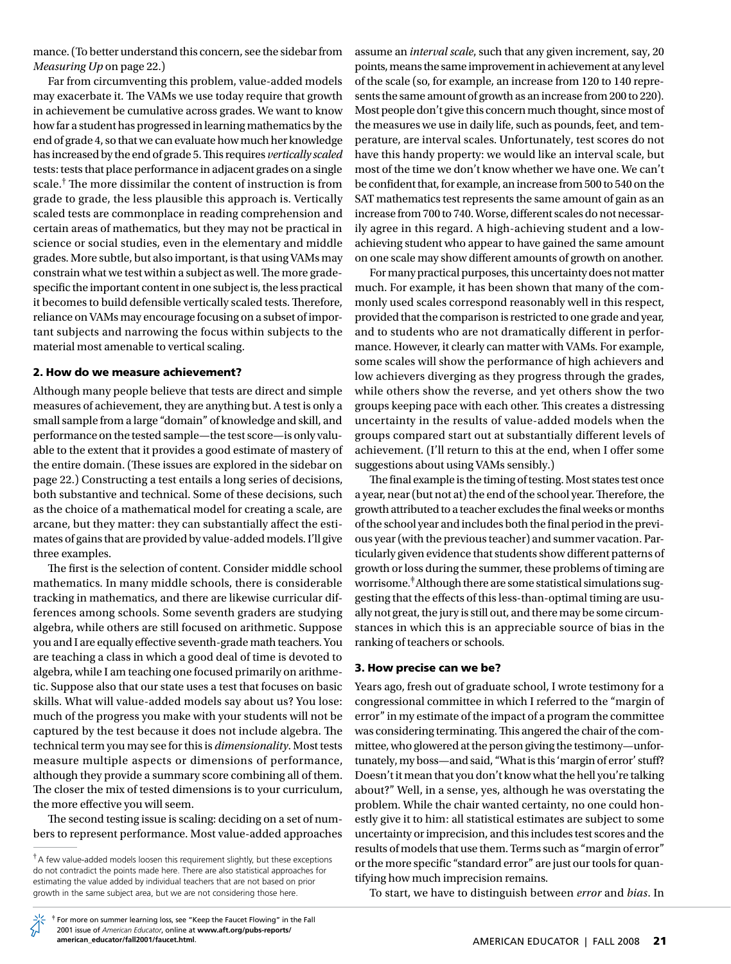mance. (To better understand this concern, see the sidebar from *Measuring Up* on page 22.)

Far from circumventing this problem, value-added models may exacerbate it. The VAMs we use today require that growth in achievement be cumulative across grades. We want to know how far a student has progressed in learning mathematics by the end of grade 4, so that we can evaluate how much her knowledge has increased by the end of grade 5. This requires *vertically scaled* tests: tests that place performance in adjacent grades on a single scale.† The more dissimilar the content of instruction is from grade to grade, the less plausible this approach is. Vertically scaled tests are commonplace in reading comprehension and certain areas of mathematics, but they may not be practical in science or social studies, even in the elementary and middle grades. More subtle, but also important, is that using VAMs may constrain what we test within a subject as well. The more gradespecific the important content in one subject is, the less practical it becomes to build defensible vertically scaled tests. Therefore, reliance on VAMs may encourage focusing on a subset of important subjects and narrowing the focus within subjects to the material most amenable to vertical scaling.

#### 2. How do we measure achievement?

Although many people believe that tests are direct and simple measures of achievement, they are anything but. A test is only a small sample from a large "domain" of knowledge and skill, and performance on the tested sample—the test score—is only valuable to the extent that it provides a good estimate of mastery of the entire domain. (These issues are explored in the sidebar on page 22.) Constructing a test entails a long series of decisions, both substantive and technical. Some of these decisions, such as the choice of a mathematical model for creating a scale, are arcane, but they matter: they can substantially affect the estimates of gains that are provided by value-added models. I'll give three examples.

The first is the selection of content. Consider middle school mathematics. In many middle schools, there is considerable tracking in mathematics, and there are likewise curricular differences among schools. Some seventh graders are studying algebra, while others are still focused on arithmetic. Suppose you and I are equally effective seventh-grade math teachers. You are teaching a class in which a good deal of time is devoted to algebra, while I am teaching one focused primarily on arithmetic. Suppose also that our state uses a test that focuses on basic skills. What will value-added models say about us? You lose: much of the progress you make with your students will not be captured by the test because it does not include algebra. The technical term you may see for this is *dimensionality*. Most tests measure multiple aspects or dimensions of performance, although they provide a summary score combining all of them. The closer the mix of tested dimensions is to your curriculum, the more effective you will seem.

The second testing issue is scaling: deciding on a set of numbers to represent performance. Most value-added approaches assume an *interval scale*, such that any given increment, say, 20 points, means the same improvement in achievement at any level of the scale (so, for example, an increase from 120 to 140 represents the same amount of growth as an increase from 200 to 220). Most people don't give this concern much thought, since most of the measures we use in daily life, such as pounds, feet, and temperature, are interval scales. Unfortunately, test scores do not have this handy property: we would like an interval scale, but most of the time we don't know whether we have one. We can't be confident that, for example, an increase from 500 to 540 on the SAT mathematics test represents the same amount of gain as an increase from 700 to 740. Worse, different scales do not necessarily agree in this regard. A high-achieving student and a lowachieving student who appear to have gained the same amount on one scale may show different amounts of growth on another.

For many practical purposes, this uncertainty does not matter much. For example, it has been shown that many of the commonly used scales correspond reasonably well in this respect, provided that the comparison is restricted to one grade and year, and to students who are not dramatically different in performance. However, it clearly can matter with VAMs. For example, some scales will show the performance of high achievers and low achievers diverging as they progress through the grades, while others show the reverse, and yet others show the two groups keeping pace with each other. This creates a distressing uncertainty in the results of value-added models when the groups compared start out at substantially different levels of achievement. (I'll return to this at the end, when I offer some suggestions about using VAMs sensibly.)

The final example is the timing of testing. Most states test once a year, near (but not at) the end of the school year. Therefore, the growth attributed to a teacher excludes the final weeks or months of the school year and includes both the final period in the previous year (with the previous teacher) and summer vacation. Particularly given evidence that students show different patterns of growth or loss during the summer, these problems of timing are worrisome.<sup>†</sup>Although there are some statistical simulations suggesting that the effects of this less-than-optimal timing are usually not great, the jury is still out, and there may be some circumstances in which this is an appreciable source of bias in the ranking of teachers or schools.

#### 3. How precise can we be?

Years ago, fresh out of graduate school, I wrote testimony for a congressional committee in which I referred to the "margin of error" in my estimate of the impact of a program the committee was considering terminating. This angered the chair of the committee, who glowered at the person giving the testimony—unfortunately, my boss—and said, "What is this 'margin of error' stuff? Doesn't it mean that you don't know what the hell you're talking about?" Well, in a sense, yes, although he was overstating the problem. While the chair wanted certainty, no one could honestly give it to him: all statistical estimates are subject to some uncertainty or imprecision, and this includes test scores and the results of models that use them. Terms such as "margin of error" or the more specific "standard error" are just our tools for quantifying how much imprecision remains.

To start, we have to distinguish between *error* and *bias*. In

<sup>†</sup>A few value-added models loosen this requirement slightly, but these exceptions do not contradict the points made here. There are also statistical approaches for estimating the value added by individual teachers that are not based on prior growth in the same subject area, but we are not considering those here.

<sup>‡</sup> For more on summer learning loss, see "Keep the Faucet Flowing" in the Fall 2001 issue of *American Educator*, online at **www.aft.org/pubs-reports/ [american\\_educator/fall2001/faucet.html](www.aft.org/pubs-reports/american_educator/fall2001/faucet.html)**.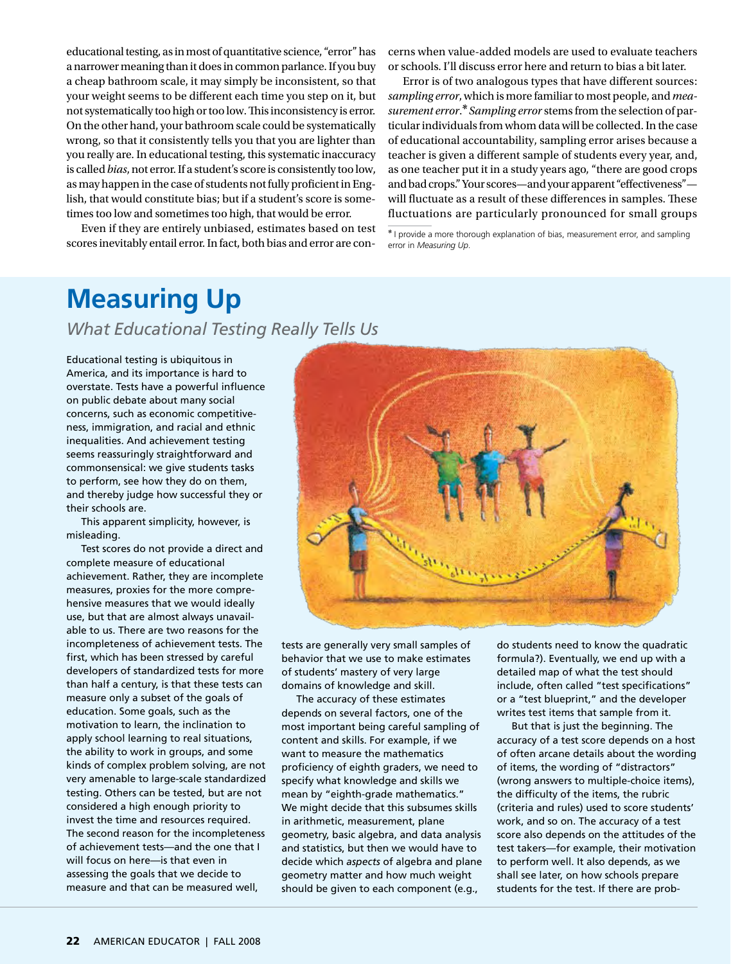educational testing, as in most of quantitative science, "error" has a narrower meaning than it does in common parlance. If you buy a cheap bathroom scale, it may simply be inconsistent, so that your weight seems to be different each time you step on it, but not systematically too high or too low. This inconsistency is error. On the other hand, your bathroom scale could be systematically wrong, so that it consistently tells you that you are lighter than you really are. In educational testing, this systematic inaccuracy is called *bias*, not error. If a student's score is consistently too low, as may happen in the case of students not fully proficient in English, that would constitute bias; but if a student's score is sometimes too low and sometimes too high, that would be error.

Even if they are entirely unbiased, estimates based on test scores inevitably entail error. In fact, both bias and error are concerns when value-added models are used to evaluate teachers or schools. I'll discuss error here and return to bias a bit later.

Error is of two analogous types that have different sources: *sampling error*, which is more familiar to most people, and *measurement error*.\**Sampling error* stems from the selection of particular individuals from whom data will be collected. In the case of educational accountability, sampling error arises because a teacher is given a different sample of students every year, and, as one teacher put it in a study years ago, "there are good crops and bad crops." Your scores—and your apparent "effectiveness" will fluctuate as a result of these differences in samples. These fluctuations are particularly pronounced for small groups

\*I provide a more thorough explanation of bias, measurement error, and sampling error in *Measuring Up*.

# **Measuring Up**

*What Educational Testing Really Tells Us*

Educational testing is ubiquitous in America, and its importance is hard to overstate. Tests have a powerful influence on public debate about many social concerns, such as economic competitiveness, immigration, and racial and ethnic inequalities. And achievement testing seems reassuringly straightforward and commonsensical: we give students tasks to perform, see how they do on them, and thereby judge how successful they or their schools are.

This apparent simplicity, however, is misleading.

Test scores do not provide a direct and complete measure of educational achievement. Rather, they are incomplete measures, proxies for the more comprehensive measures that we would ideally use, but that are almost always unavailable to us. There are two reasons for the incompleteness of achievement tests. The first, which has been stressed by careful developers of standardized tests for more than half a century, is that these tests can measure only a subset of the goals of education. Some goals, such as the motivation to learn, the inclination to apply school learning to real situations, the ability to work in groups, and some kinds of complex problem solving, are not very amenable to large-scale standardized testing. Others can be tested, but are not considered a high enough priority to invest the time and resources required. The second reason for the incompleteness of achievement tests—and the one that I will focus on here—is that even in assessing the goals that we decide to measure and that can be measured well,



tests are generally very small samples of behavior that we use to make estimates of students' mastery of very large domains of knowledge and skill.

The accuracy of these estimates depends on several factors, one of the most important being careful sampling of content and skills. For example, if we want to measure the mathematics proficiency of eighth graders, we need to specify what knowledge and skills we mean by "eighth-grade mathematics." We might decide that this subsumes skills in arithmetic, measurement, plane geometry, basic algebra, and data analysis and statistics, but then we would have to decide which *aspects* of algebra and plane geometry matter and how much weight should be given to each component (e.g.,

do students need to know the quadratic formula?). Eventually, we end up with a detailed map of what the test should include, often called "test specifications" or a "test blueprint," and the developer writes test items that sample from it.

But that is just the beginning. The accuracy of a test score depends on a host of often arcane details about the wording of items, the wording of "distractors" (wrong answers to multiple-choice items), the difficulty of the items, the rubric (criteria and rules) used to score students' work, and so on. The accuracy of a test score also depends on the attitudes of the test takers—for example, their motivation to perform well. It also depends, as we shall see later, on how schools prepare students for the test. If there are prob-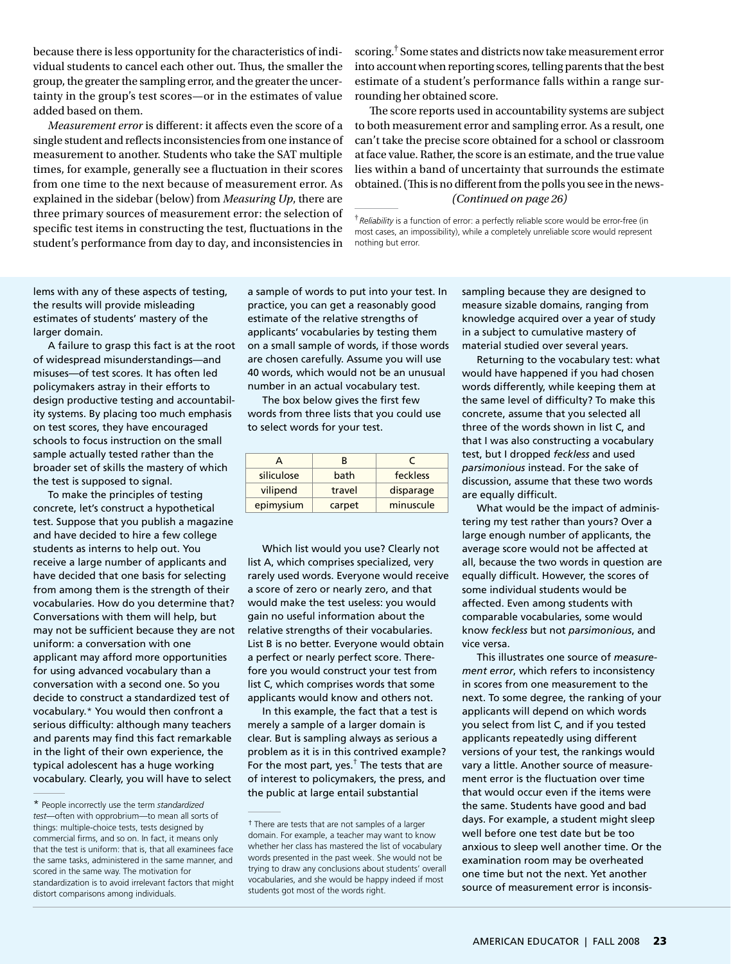because there is less opportunity for the characteristics of individual students to cancel each other out. Thus, the smaller the group, the greater the sampling error, and the greater the uncertainty in the group's test scores—or in the estimates of value added based on them.

*Measurement error* is different: it affects even the score of a single student and reflects inconsistencies from one instance of measurement to another. Students who take the SAT multiple times, for example, generally see a fluctuation in their scores from one time to the next because of measurement error. As explained in the sidebar (below) from *Measuring Up*, there are three primary sources of measurement error: the selection of specific test items in constructing the test, fluctuations in the student's performance from day to day, and inconsistencies in

scoring.† Some states and districts now take measurement error into account when reporting scores, telling parents that the best estimate of a student's performance falls within a range surrounding her obtained score.

The score reports used in accountability systems are subject to both measurement error and sampling error. As a result, one can't take the precise score obtained for a school or classroom at face value. Rather, the score is an estimate, and the true value lies within a band of uncertainty that surrounds the estimate obtained. (This is no different from the polls you see in the news-*(Continued on page 26)*

†*Reliability* is a function of error: a perfectly reliable score would be error-free (in most cases, an impossibility), while a completely unreliable score would represent nothing but error.

lems with any of these aspects of testing, the results will provide misleading estimates of students' mastery of the larger domain.

A failure to grasp this fact is at the root of widespread misunderstandings—and misuses—of test scores. It has often led policymakers astray in their efforts to design productive testing and accountability systems. By placing too much emphasis on test scores, they have encouraged schools to focus instruction on the small sample actually tested rather than the broader set of skills the mastery of which the test is supposed to signal.

To make the principles of testing concrete, let's construct a hypothetical test. Suppose that you publish a magazine and have decided to hire a few college students as interns to help out. You receive a large number of applicants and have decided that one basis for selecting from among them is the strength of their vocabularies. How do you determine that? Conversations with them will help, but may not be sufficient because they are not uniform: a conversation with one applicant may afford more opportunities for using advanced vocabulary than a conversation with a second one. So you decide to construct a standardized test of vocabulary.\* You would then confront a serious difficulty: although many teachers and parents may find this fact remarkable in the light of their own experience, the typical adolescent has a huge working vocabulary. Clearly, you will have to select

\* People incorrectly use the term *standardized test*—often with opprobrium—to mean all sorts of things: multiple-choice tests, tests designed by commercial firms, and so on. In fact, it means only that the test is uniform: that is, that all examinees face the same tasks, administered in the same manner, and scored in the same way. The motivation for standardization is to avoid irrelevant factors that might distort comparisons among individuals.

a sample of words to put into your test. In practice, you can get a reasonably good estimate of the relative strengths of applicants' vocabularies by testing them on a small sample of words, if those words are chosen carefully. Assume you will use 40 words, which would not be an unusual number in an actual vocabulary test.

The box below gives the first few words from three lists that you could use to select words for your test.

|            | R      |           |
|------------|--------|-----------|
| siliculose | bath   | feckless  |
| vilipend   | travel | disparage |
| epimysium  | carpet | minuscule |

Which list would you use? Clearly not list A, which comprises specialized, very rarely used words. Everyone would receive a score of zero or nearly zero, and that would make the test useless: you would gain no useful information about the relative strengths of their vocabularies. List B is no better. Everyone would obtain a perfect or nearly perfect score. Therefore you would construct your test from list C, which comprises words that some applicants would know and others not.

In this example, the fact that a test is merely a sample of a larger domain is clear. But is sampling always as serious a problem as it is in this contrived example? For the most part, yes.<sup>†</sup> The tests that are of interest to policymakers, the press, and the public at large entail substantial

sampling because they are designed to measure sizable domains, ranging from knowledge acquired over a year of study in a subject to cumulative mastery of material studied over several years.

Returning to the vocabulary test: what would have happened if you had chosen words differently, while keeping them at the same level of difficulty? To make this concrete, assume that you selected all three of the words shown in list C, and that I was also constructing a vocabulary test, but I dropped *feckless* and used *parsimonious* instead. For the sake of discussion, assume that these two words are equally difficult.

What would be the impact of administering my test rather than yours? Over a large enough number of applicants, the average score would not be affected at all, because the two words in question are equally difficult. However, the scores of some individual students would be affected. Even among students with comparable vocabularies, some would know *feckless* but not *parsimonious*, and vice versa.

This illustrates one source of *measurement error*, which refers to inconsistency in scores from one measurement to the next. To some degree, the ranking of your applicants will depend on which words you select from list C, and if you tested applicants repeatedly using different versions of your test, the rankings would vary a little. Another source of measurement error is the fluctuation over time that would occur even if the items were the same. Students have good and bad days. For example, a student might sleep well before one test date but be too anxious to sleep well another time. Or the examination room may be overheated one time but not the next. Yet another source of measurement error is inconsis-

<sup>†</sup> There are tests that are not samples of a larger domain. For example, a teacher may want to know whether her class has mastered the list of vocabulary words presented in the past week. She would not be trying to draw any conclusions about students' overall vocabularies, and she would be happy indeed if most students got most of the words right.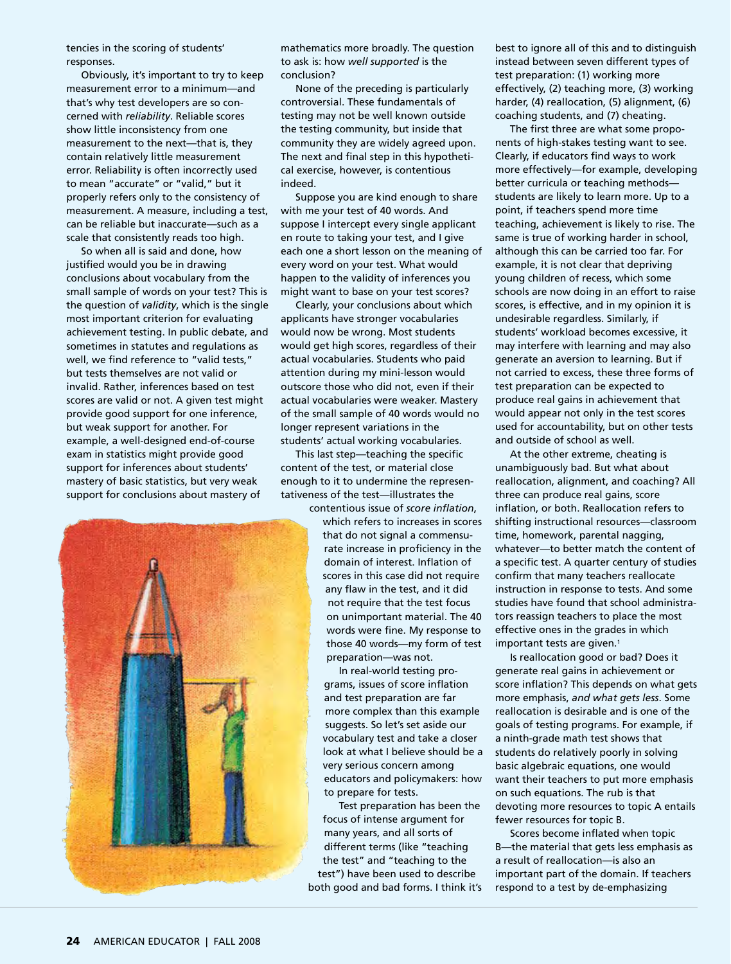tencies in the scoring of students' responses.

Obviously, it's important to try to keep measurement error to a minimum—and that's why test developers are so concerned with *reliability*. Reliable scores show little inconsistency from one measurement to the next—that is, they contain relatively little measurement error. Reliability is often incorrectly used to mean "accurate" or "valid," but it properly refers only to the consistency of measurement. A measure, including a test, can be reliable but inaccurate—such as a scale that consistently reads too high.

So when all is said and done, how justified would you be in drawing conclusions about vocabulary from the small sample of words on your test? This is the question of *validity*, which is the single most important criterion for evaluating achievement testing. In public debate, and sometimes in statutes and regulations as well, we find reference to "valid tests," but tests themselves are not valid or invalid. Rather, inferences based on test scores are valid or not. A given test might provide good support for one inference, but weak support for another. For example, a well-designed end-of-course exam in statistics might provide good support for inferences about students' mastery of basic statistics, but very weak support for conclusions about mastery of



mathematics more broadly. The question to ask is: how *well supported* is the conclusion?

None of the preceding is particularly controversial. These fundamentals of testing may not be well known outside the testing community, but inside that community they are widely agreed upon. The next and final step in this hypothetical exercise, however, is contentious indeed.

Suppose you are kind enough to share with me your test of 40 words. And suppose I intercept every single applicant en route to taking your test, and I give each one a short lesson on the meaning of every word on your test. What would happen to the validity of inferences you might want to base on your test scores?

Clearly, your conclusions about which applicants have stronger vocabularies would now be wrong. Most students would get high scores, regardless of their actual vocabularies. Students who paid attention during my mini-lesson would outscore those who did not, even if their actual vocabularies were weaker. Mastery of the small sample of 40 words would no longer represent variations in the students' actual working vocabularies.

This last step—teaching the specific content of the test, or material close enough to it to undermine the representativeness of the test—illustrates the

> contentious issue of *score inflation*, which refers to increases in scores that do not signal a commensurate increase in proficiency in the domain of interest. Inflation of scores in this case did not require any flaw in the test, and it did not require that the test focus on unimportant material. The 40 words were fine. My response to those 40 words—my form of test preparation—was not.

In real-world testing programs, issues of score inflation and test preparation are far more complex than this example suggests. So let's set aside our vocabulary test and take a closer look at what I believe should be a very serious concern among educators and policymakers: how to prepare for tests.

Test preparation has been the focus of intense argument for many years, and all sorts of different terms (like "teaching the test" and "teaching to the test") have been used to describe both good and bad forms. I think it's best to ignore all of this and to distinguish instead between seven different types of test preparation: (1) working more effectively, (2) teaching more, (3) working harder, (4) reallocation, (5) alignment, (6) coaching students, and (7) cheating.

The first three are what some proponents of high-stakes testing want to see. Clearly, if educators find ways to work more effectively—for example, developing better curricula or teaching methods students are likely to learn more. Up to a point, if teachers spend more time teaching, achievement is likely to rise. The same is true of working harder in school, although this can be carried too far. For example, it is not clear that depriving young children of recess, which some schools are now doing in an effort to raise scores, is effective, and in my opinion it is undesirable regardless. Similarly, if students' workload becomes excessive, it may interfere with learning and may also generate an aversion to learning. But if not carried to excess, these three forms of test preparation can be expected to produce real gains in achievement that would appear not only in the test scores used for accountability, but on other tests and outside of school as well.

At the other extreme, cheating is unambiguously bad. But what about reallocation, alignment, and coaching? All three can produce real gains, score inflation, or both. Reallocation refers to shifting instructional resources—classroom time, homework, parental nagging, whatever—to better match the content of a specific test. A quarter century of studies confirm that many teachers reallocate instruction in response to tests. And some studies have found that school administrators reassign teachers to place the most effective ones in the grades in which important tests are given.<sup>1</sup>

Is reallocation good or bad? Does it generate real gains in achievement or score inflation? This depends on what gets more emphasis, *and what gets less*. Some reallocation is desirable and is one of the goals of testing programs. For example, if a ninth-grade math test shows that students do relatively poorly in solving basic algebraic equations, one would want their teachers to put more emphasis on such equations. The rub is that devoting more resources to topic A entails fewer resources for topic B.

Scores become inflated when topic B—the material that gets less emphasis as a result of reallocation—is also an important part of the domain. If teachers respond to a test by de-emphasizing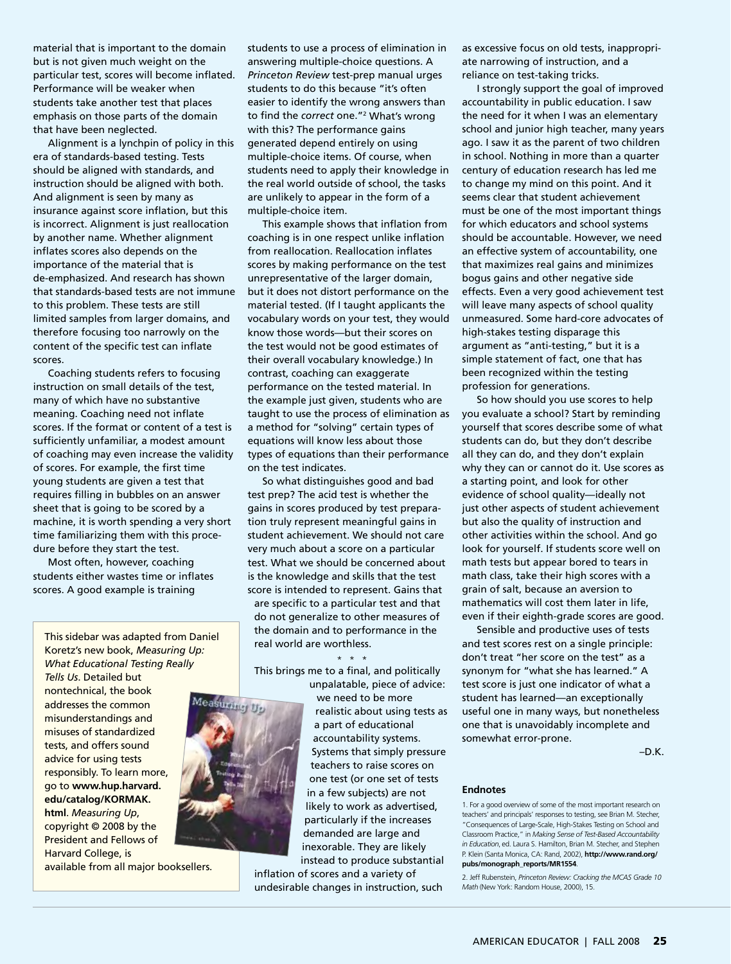material that is important to the domain but is not given much weight on the particular test, scores will become inflated. Performance will be weaker when students take another test that places emphasis on those parts of the domain that have been neglected.

Alignment is a lynchpin of policy in this era of standards-based testing. Tests should be aligned with standards, and instruction should be aligned with both. And alignment is seen by many as insurance against score inflation, but this is incorrect. Alignment is just reallocation by another name. Whether alignment inflates scores also depends on the importance of the material that is de-emphasized. And research has shown that standards-based tests are not immune to this problem. These tests are still limited samples from larger domains, and therefore focusing too narrowly on the content of the specific test can inflate scores.

Coaching students refers to focusing instruction on small details of the test, many of which have no substantive meaning. Coaching need not inflate scores. If the format or content of a test is sufficiently unfamiliar, a modest amount of coaching may even increase the validity of scores. For example, the first time young students are given a test that requires filling in bubbles on an answer sheet that is going to be scored by a machine, it is worth spending a very short time familiarizing them with this procedure before they start the test.

Most often, however, coaching students either wastes time or inflates scores. A good example is training

This sidebar was adapted from Daniel Koretz's new book, *Measuring Up: What Educational Testing Really Tells Us*. Detailed but nontechnical, the book addresses the common misunderstandings and misuses of standardized tests, and offers sound advice for using tests responsibly. To learn more, go to **www.hup.harvard. [edu/catalog/KORMAK.](www.hup.harvard.edu/catalog/KORMAK.html) html**. *Measuring Up*, copyright © 2008 by the President and Fellows of Harvard College, is

available from all major booksellers.

students to use a process of elimination in answering multiple-choice questions. A *Princeton Review* test-prep manual urges students to do this because "it's often easier to identify the wrong answers than to find the *correct* one."2 What's wrong with this? The performance gains generated depend entirely on using multiple-choice items. Of course, when students need to apply their knowledge in the real world outside of school, the tasks are unlikely to appear in the form of a multiple-choice item.

This example shows that inflation from coaching is in one respect unlike inflation from reallocation. Reallocation inflates scores by making performance on the test unrepresentative of the larger domain, but it does not distort performance on the material tested. (If I taught applicants the vocabulary words on your test, they would know those words—but their scores on the test would not be good estimates of their overall vocabulary knowledge.) In contrast, coaching can exaggerate performance on the tested material. In the example just given, students who are taught to use the process of elimination as a method for "solving" certain types of equations will know less about those types of equations than their performance on the test indicates.

So what distinguishes good and bad test prep? The acid test is whether the gains in scores produced by test preparation truly represent meaningful gains in student achievement. We should not care very much about a score on a particular test. What we should be concerned about is the knowledge and skills that the test score is intended to represent. Gains that are specific to a particular test and that do not generalize to other measures of the domain and to performance in the real world are worthless.

 $\pm$   $\pm$   $\pm$ This brings me to a final, and politically

> unpalatable, piece of advice: we need to be more realistic about using tests as a part of educational accountability systems. Systems that simply pressure teachers to raise scores on one test (or one set of tests in a few subjects) are not likely to work as advertised, particularly if the increases demanded are large and inexorable. They are likely instead to produce substantial

inflation of scores and a variety of undesirable changes in instruction, such as excessive focus on old tests, inappropriate narrowing of instruction, and a reliance on test-taking tricks.

I strongly support the goal of improved accountability in public education. I saw the need for it when I was an elementary school and junior high teacher, many years ago. I saw it as the parent of two children in school. Nothing in more than a quarter century of education research has led me to change my mind on this point. And it seems clear that student achievement must be one of the most important things for which educators and school systems should be accountable. However, we need an effective system of accountability, one that maximizes real gains and minimizes bogus gains and other negative side effects. Even a very good achievement test will leave many aspects of school quality unmeasured. Some hard-core advocates of high-stakes testing disparage this argument as "anti-testing," but it is a simple statement of fact, one that has been recognized within the testing profession for generations.

So how should you use scores to help you evaluate a school? Start by reminding yourself that scores describe some of what students can do, but they don't describe all they can do, and they don't explain why they can or cannot do it. Use scores as a starting point, and look for other evidence of school quality—ideally not just other aspects of student achievement but also the quality of instruction and other activities within the school. And go look for yourself. If students score well on math tests but appear bored to tears in math class, take their high scores with a grain of salt, because an aversion to mathematics will cost them later in life, even if their eighth-grade scores are good.

Sensible and productive uses of tests and test scores rest on a single principle: don't treat "her score on the test" as a synonym for "what she has learned." A test score is just one indicator of what a student has learned—an exceptionally useful one in many ways, but nonetheless one that is unavoidably incomplete and somewhat error-prone.

 $-D.K.$ 

#### **Endnotes**

1. For a good overview of some of the most important research on teachers' and principals' responses to testing, see Brian M. Stecher, "Consequences of Large-Scale, High-Stakes Testing on School and Classroom Practice," in *Making Sense of Test-Based Accountability in Education*, ed. Laura S. Hamilton, Brian M. Stecher, and Stephen [P. Klein \(Santa Monica, CA: Rand, 2002\),](http://www.rand.org/pubs/monograph_reports/MR1554) **http://www.rand.org/ pubs/monograph\_reports/MR1554**.

2. Jeff Rubenstein, *Princeton Review: Cracking the MCAS Grade 10 Math* (New York: Random House, 2000), 15.

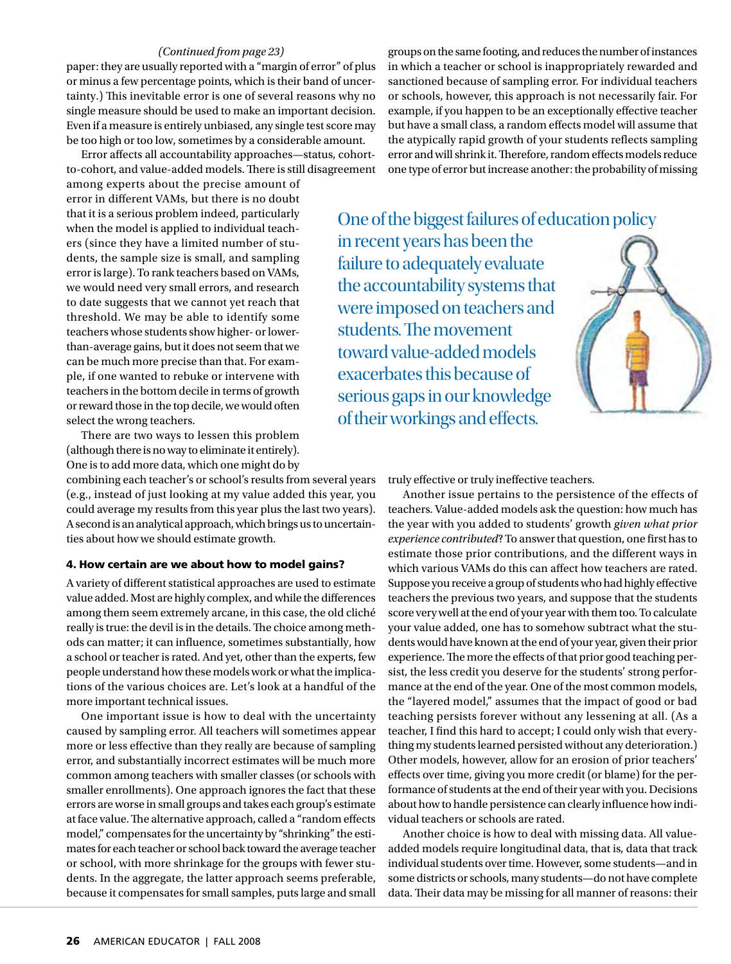#### *(Continued from page 23)*

paper: they are usually reported with a "margin of error" of plus or minus a few percentage points, which is their band of uncertainty.) This inevitable error is one of several reasons why no single measure should be used to make an important decision. Even if a measure is entirely unbiased, any single test score may be too high or too low, sometimes by a considerable amount.

Error affects all accountability approaches—status, cohortto-cohort, and value-added models. There is still disagreement

among experts about the precise amount of error in different VAMs, but there is no doubt that it is a serious problem indeed, particularly when the model is applied to individual teachers (since they have a limited number of students, the sample size is small, and sampling error is large). To rank teachers based on VAMs, we would need very small errors, and research to date suggests that we cannot yet reach that threshold. We may be able to identify some teachers whose students show higher- or lowerthan-average gains, but it does not seem that we can be much more precise than that. For example, if one wanted to rebuke or intervene with teachers in the bottom decile in terms of growth or reward those in the top decile, we would often select the wrong teachers.

There are two ways to lessen this problem (although there is no way to eliminate it entirely). One is to add more data, which one might do by

combining each teacher's or school's results from several years (e.g., instead of just looking at my value added this year, you could average my results from this year plus the last two years). A second is an analytical approach, which brings us to uncertainties about how we should estimate growth.

#### 4. How certain are we about how to model gains?

A variety of different statistical approaches are used to estimate value added. Most are highly complex, and while the differences among them seem extremely arcane, in this case, the old cliché really is true: the devil is in the details. The choice among methods can matter; it can influence, sometimes substantially, how a school or teacher is rated. And yet, other than the experts, few people understand how these models work or what the implications of the various choices are. Let's look at a handful of the more important technical issues.

One important issue is how to deal with the uncertainty caused by sampling error. All teachers will sometimes appear more or less effective than they really are because of sampling error, and substantially incorrect estimates will be much more common among teachers with smaller classes (or schools with smaller enrollments). One approach ignores the fact that these errors are worse in small groups and takes each group's estimate at face value. The alternative approach, called a "random effects model," compensates for the uncertainty by "shrinking" the estimates for each teacher or school back toward the average teacher or school, with more shrinkage for the groups with fewer students. In the aggregate, the latter approach seems preferable, because it compensates for small samples, puts large and small

groups on the same footing, and reduces the number of instances in which a teacher or school is inappropriately rewarded and sanctioned because of sampling error. For individual teachers or schools, however, this approach is not necessarily fair. For example, if you happen to be an exceptionally effective teacher but have a small class, a random effects model will assume that the atypically rapid growth of your students reflects sampling error and will shrink it. Therefore, random effects models reduce one type of error but increase another: the probability of missing

One of the biggest failures of education policy in recent years has been the failure to adequately evaluate the accountability systems that were imposed on teachers and students. The movement toward value-added models exacerbates this because of serious gaps in our knowledge of their workings and effects.



truly effective or truly ineffective teachers.

Another issue pertains to the persistence of the effects of teachers. Value-added models ask the question: how much has the year with you added to students' growth *given what prior experience contributed*? To answer that question, one first has to estimate those prior contributions, and the different ways in which various VAMs do this can affect how teachers are rated. Suppose you receive a group of students who had highly effective teachers the previous two years, and suppose that the students score very well at the end of your year with them too. To calculate your value added, one has to somehow subtract what the students would have known at the end of your year, given their prior experience. The more the effects of that prior good teaching persist, the less credit you deserve for the students' strong performance at the end of the year. One of the most common models, the "layered model," assumes that the impact of good or bad teaching persists forever without any lessening at all. (As a teacher, I find this hard to accept; I could only wish that everything my students learned persisted without any deterioration.) Other models, however, allow for an erosion of prior teachers' effects over time, giving you more credit (or blame) for the performance of students at the end of their year with you. Decisions about how to handle persistence can clearly influence how individual teachers or schools are rated.

Another choice is how to deal with missing data. All valueadded models require longitudinal data, that is, data that track individual students over time. However, some students—and in some districts or schools, many students—do not have complete data. Their data may be missing for all manner of reasons: their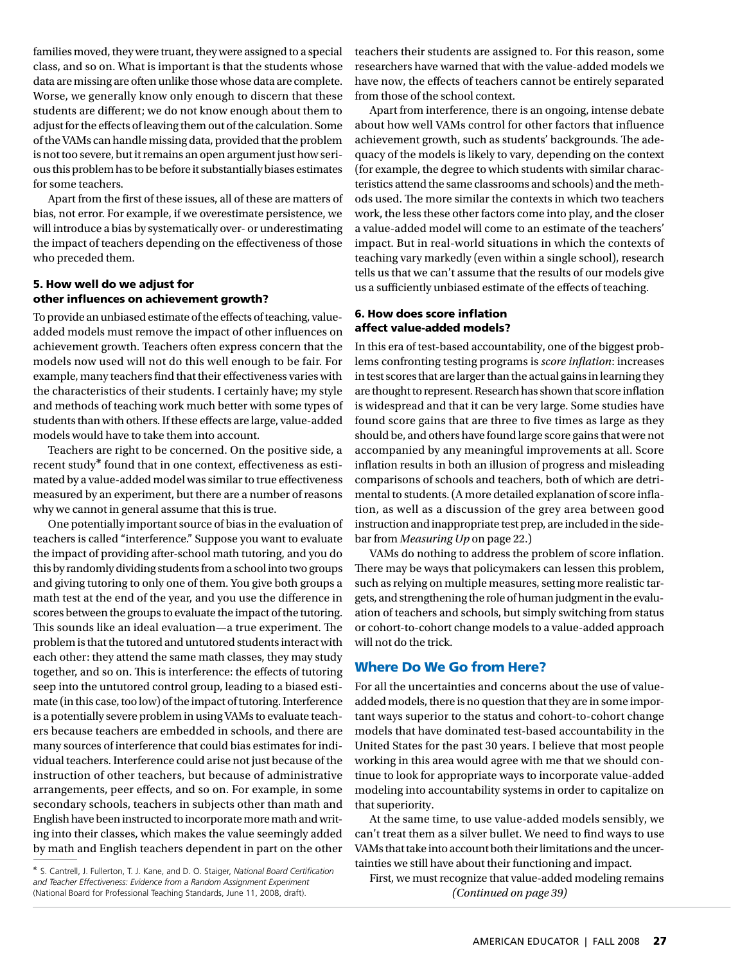families moved, they were truant, they were assigned to a special class, and so on. What is important is that the students whose data are missing are often unlike those whose data are complete. Worse, we generally know only enough to discern that these students are different; we do not know enough about them to adjust for the effects of leaving them out of the calculation. Some of the VAMs can handle missing data, provided that the problem is not too severe, but it remains an open argument just how serious this problem has to be before it substantially biases estimates for some teachers.

Apart from the first of these issues, all of these are matters of bias, not error. For example, if we overestimate persistence, we will introduce a bias by systematically over- or underestimating the impact of teachers depending on the effectiveness of those who preceded them.

#### 5. How well do we adjust for other influences on achievement growth?

To provide an unbiased estimate of the effects of teaching, valueadded models must remove the impact of other influences on achievement growth. Teachers often express concern that the models now used will not do this well enough to be fair. For example, many teachers find that their effectiveness varies with the characteristics of their students. I certainly have; my style and methods of teaching work much better with some types of students than with others. If these effects are large, value-added models would have to take them into account.

Teachers are right to be concerned. On the positive side, a recent study\* found that in one context, effectiveness as estimated by a value-added model was similar to true effectiveness measured by an experiment, but there are a number of reasons why we cannot in general assume that this is true.

One potentially important source of bias in the evaluation of teachers is called "interference." Suppose you want to evaluate the impact of providing after-school math tutoring, and you do this by randomly dividing students from a school into two groups and giving tutoring to only one of them. You give both groups a math test at the end of the year, and you use the difference in scores between the groups to evaluate the impact of the tutoring. This sounds like an ideal evaluation—a true experiment. The problem is that the tutored and untutored students interact with each other: they attend the same math classes, they may study together, and so on. This is interference: the effects of tutoring seep into the untutored control group, leading to a biased estimate (in this case, too low) of the impact of tutoring. Interference is a potentially severe problem in using VAMs to evaluate teachers because teachers are embedded in schools, and there are many sources of interference that could bias estimates for individual teachers. Interference could arise not just because of the instruction of other teachers, but because of administrative arrangements, peer effects, and so on. For example, in some secondary schools, teachers in subjects other than math and English have been instructed to incorporate more math and writing into their classes, which makes the value seemingly added by math and English teachers dependent in part on the other teachers their students are assigned to. For this reason, some researchers have warned that with the value-added models we have now, the effects of teachers cannot be entirely separated from those of the school context.

Apart from interference, there is an ongoing, intense debate about how well VAMs control for other factors that influence achievement growth, such as students' backgrounds. The adequacy of the models is likely to vary, depending on the context (for example, the degree to which students with similar characteristics attend the same classrooms and schools) and the methods used. The more similar the contexts in which two teachers work, the less these other factors come into play, and the closer a value-added model will come to an estimate of the teachers' impact. But in real-world situations in which the contexts of teaching vary markedly (even within a single school), research tells us that we can't assume that the results of our models give us a sufficiently unbiased estimate of the effects of teaching.

#### 6. How does score inflation affect value-added models?

In this era of test-based accountability, one of the biggest problems confronting testing programs is *score inflation*: increases in test scores that are larger than the actual gains in learning they are thought to represent. Research has shown that score inflation is widespread and that it can be very large. Some studies have found score gains that are three to five times as large as they should be, and others have found large score gains that were not accompanied by any meaningful improvements at all. Score inflation results in both an illusion of progress and misleading comparisons of schools and teachers, both of which are detrimental to students. (A more detailed explanation of score inflation, as well as a discussion of the grey area between good instruction and inappropriate test prep, are included in the sidebar from *Measuring Up* on page 22.)

VAMs do nothing to address the problem of score inflation. There may be ways that policymakers can lessen this problem, such as relying on multiple measures, setting more realistic targets, and strengthening the role of human judgment in the evaluation of teachers and schools, but simply switching from status or cohort-to-cohort change models to a value-added approach will not do the trick.

## Where Do We Go from Here?

For all the uncertainties and concerns about the use of valueadded models, there is no question that they are in some important ways superior to the status and cohort-to-cohort change models that have dominated test-based accountability in the United States for the past 30 years. I believe that most people working in this area would agree with me that we should continue to look for appropriate ways to incorporate value-added modeling into accountability systems in order to capitalize on that superiority.

At the same time, to use value-added models sensibly, we can't treat them as a silver bullet. We need to find ways to use VAMs that take into account both their limitations and the uncertainties we still have about their functioning and impact.

First, we must recognize that value-added modeling remains *(Continued on page 39)*

<sup>\*</sup> S. Cantrell, J. Fullerton, T. J. Kane, and D. O. Staiger, *National Board Certification and Teacher Effectiveness: Evidence from a Random Assignment Experiment* (National Board for Professional Teaching Standards, June 11, 2008, draft).